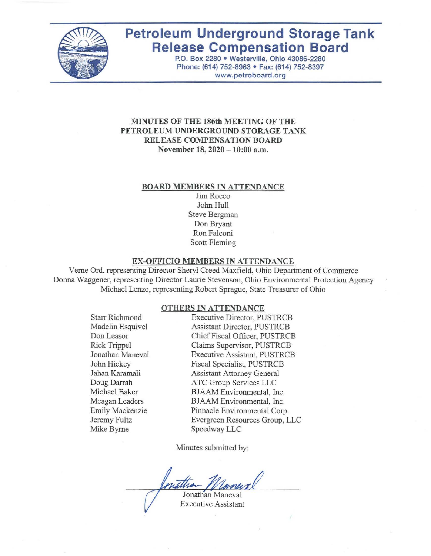

# **Petroleum Underground Storage Tank Release Compensation Board**

P.O. Box 2280 • Westerville, Ohio 43086-2280 Phone: (614) 752-8963 • Fax: (614) 752-8397 www.petroboard.org

#### **MINUTES OF THE 186th MEETING OF THE PETROLEUM UNDERGROUND STORAGE TANK RELEASE COMPENSATION BOARD November 18, 2020 -10:00** a.m.

#### **BOARD MEMBERS IN ATTENDANCE**

Jim Rocco John Hull Steve Bergman Don Bryant Ron Falconi Scott Fleming

#### **EX-OFFICIO MEMBERS IN ATTENDANCE**

Verne Ord, representing Director Sheryl Creed Maxfield, Ohio Department of Commerce Donna Waggener, representing Director Laurie Stevenson, Ohio Environmental Protection Agency Michael Lenzo, representing Robert Sprague, State Treasurer of Ohio

#### **OTHERS IN ATTENDANCE**

Starr Richmond Madelin Esquivel Don Leasor Rick Trippel Jonathan Maneval John Hickey Jaban Karamali Doug Darrah Michael Baker Meagan Leaders Emily Mackenzie Jeremy Fultz Mike Byrne

Executive Director, PUSTRCB Assistant Director, PUSTRCB Chief Fiscal Officer, PUSTRCB Claims Supervisor, PUSTRCB Executive Assistant, PUSTRCB Fiscal Specialist, PUSTRCB Assistant Attorney General ATC Group Services LLC BJAAM Environmental, Inc. BJAAM Environmental, Inc. Pinnacle Environmental Corp. Evergreen Resources Group, LLC Speedway LLC

Minutes submitted by:

Jonathan Maneval

Executive Assistant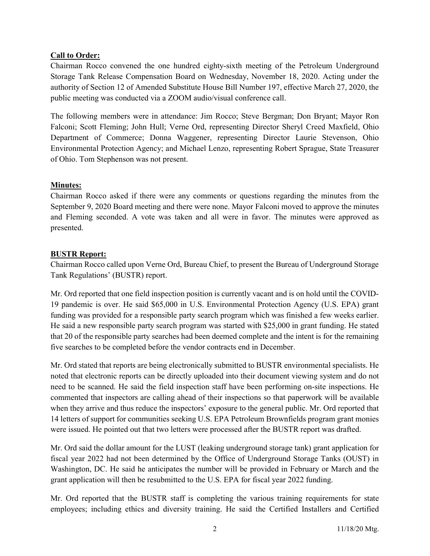## Call to Order:

Chairman Rocco convened the one hundred eighty-sixth meeting of the Petroleum Underground Storage Tank Release Compensation Board on Wednesday, November 18, 2020. Acting under the authority of Section 12 of Amended Substitute House Bill Number 197, effective March 27, 2020, the public meeting was conducted via a ZOOM audio/visual conference call.

The following members were in attendance: Jim Rocco; Steve Bergman; Don Bryant; Mayor Ron Falconi; Scott Fleming; John Hull; Verne Ord, representing Director Sheryl Creed Maxfield, Ohio Department of Commerce; Donna Waggener, representing Director Laurie Stevenson, Ohio Environmental Protection Agency; and Michael Lenzo, representing Robert Sprague, State Treasurer of Ohio. Tom Stephenson was not present.

## Minutes:

Chairman Rocco asked if there were any comments or questions regarding the minutes from the September 9, 2020 Board meeting and there were none. Mayor Falconi moved to approve the minutes and Fleming seconded. A vote was taken and all were in favor. The minutes were approved as presented.

#### BUSTR Report:

Chairman Rocco called upon Verne Ord, Bureau Chief, to present the Bureau of Underground Storage Tank Regulations' (BUSTR) report.

Mr. Ord reported that one field inspection position is currently vacant and is on hold until the COVID-19 pandemic is over. He said \$65,000 in U.S. Environmental Protection Agency (U.S. EPA) grant funding was provided for a responsible party search program which was finished a few weeks earlier. He said a new responsible party search program was started with \$25,000 in grant funding. He stated that 20 of the responsible party searches had been deemed complete and the intent is for the remaining five searches to be completed before the vendor contracts end in December.

Mr. Ord stated that reports are being electronically submitted to BUSTR environmental specialists. He noted that electronic reports can be directly uploaded into their document viewing system and do not need to be scanned. He said the field inspection staff have been performing on-site inspections. He commented that inspectors are calling ahead of their inspections so that paperwork will be available when they arrive and thus reduce the inspectors' exposure to the general public. Mr. Ord reported that 14 letters of support for communities seeking U.S. EPA Petroleum Brownfields program grant monies were issued. He pointed out that two letters were processed after the BUSTR report was drafted.

Mr. Ord said the dollar amount for the LUST (leaking underground storage tank) grant application for fiscal year 2022 had not been determined by the Office of Underground Storage Tanks (OUST) in Washington, DC. He said he anticipates the number will be provided in February or March and the grant application will then be resubmitted to the U.S. EPA for fiscal year 2022 funding.

Mr. Ord reported that the BUSTR staff is completing the various training requirements for state employees; including ethics and diversity training. He said the Certified Installers and Certified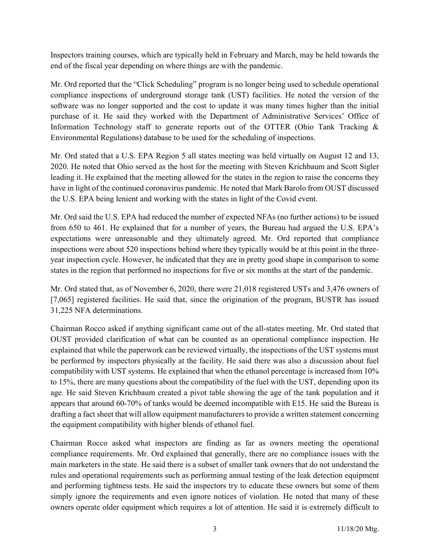Inspectors training courses, which are typically held in February and March, may be held towards the end of the fiscal year depending on where things are with the pandemic.

Mr. Ord reported that the "Click Scheduling" program is no longer being used to schedule operational compliance inspections of underground storage tank (UST) facilities. He noted the version of the software was no longer supported and the cost to update it was many times higher than the initial purchase of it. He said they worked with the Department of Administrative Services' Office of Information Technology staff to generate reports out of the OTTER (Ohio Tank Tracking & Environmental Regulations) database to be used for the scheduling of inspections.

Mr. Ord stated that a U.S. EPA Region 5 all states meeting was held virtually on August 12 and 13, 2020. He noted that Ohio served as the host for the meeting with Steven Krichbaum and Scott Sigler leading it. He explained that the meeting allowed for the states in the region to raise the concerns they have in light of the continued coronavirus pandemic. He noted that Mark Barolo from OUST discussed the U.S. EPA being lenient and working with the states in light of the Covid event.

Mr. Ord said the U.S. EPA had reduced the number of expected NFAs (no further actions) to be issued from 650 to 461. He explained that for a number of years, the Bureau had argued the U.S. EPA's expectations were unreasonable and they ultimately agreed. Mr. Ord reported that compliance inspections were about 520 inspections behind where they typically would be at this point in the threeyear inspection cycle. However, he indicated that they are in pretty good shape in comparison to some states in the region that performed no inspections for five or six months at the start of the pandemic.

Mr. Ord stated that, as of November 6, 2020, there were 21,018 registered USTs and 3,476 owners of [7,065] registered facilities. He said that, since the origination of the program, BUSTR has issued 31,225 NFA determinations.

Chairman Rocco asked if anything significant came out of the all-states meeting. Mr. Ord stated that OUST provided clarification of what can be counted as an operational compliance inspection. He explained that while the paperwork can be reviewed virtually, the inspections of the UST systems must be performed by inspectors physically at the facility. He said there was also a discussion about fuel compatibility with UST systems. He explained that when the ethanol percentage is increased from 10% to 15%, there are many questions about the compatibility of the fuel with the UST, depending upon its age. He said Steven Krichbaum created a pivot table showing the age of the tank population and it appears that around 60-70% of tanks would be deemed incompatible with E15. He said the Bureau is drafting a fact sheet that will allow equipment manufacturers to provide a written statement concerning the equipment compatibility with higher blends of ethanol fuel.

Chairman Rocco asked what inspectors are finding as far as owners meeting the operational compliance requirements. Mr. Ord explained that generally, there are no compliance issues with the main marketers in the state. He said there is a subset of smaller tank owners that do not understand the rules and operational requirements such as performing annual testing of the leak detection equipment and performing tightness tests. He said the inspectors try to educate these owners but some of them simply ignore the requirements and even ignore notices of violation. He noted that many of these owners operate older equipment which requires a lot of attention. He said it is extremely difficult to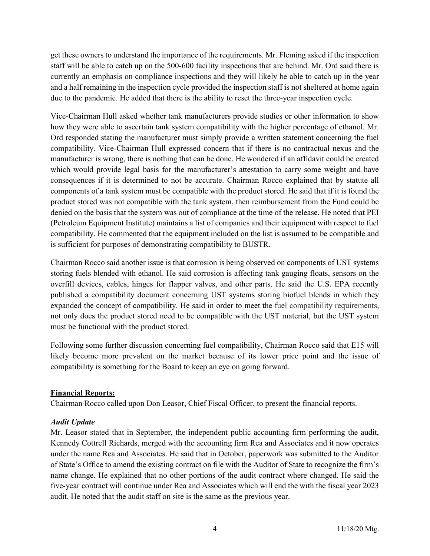get these owners to understand the importance of the requirements. Mr. Fleming asked if the inspection staff will be able to catch up on the 500-600 facility inspections that are behind. Mr. Ord said there is currently an emphasis on compliance inspections and they will likely be able to catch up in the year and a half remaining in the inspection cycle provided the inspection staff is not sheltered at home again due to the pandemic. He added that there is the ability to reset the three-year inspection cycle.

Vice-Chairman Hull asked whether tank manufacturers provide studies or other information to show how they were able to ascertain tank system compatibility with the higher percentage of ethanol. Mr. Ord responded stating the manufacturer must simply provide a written statement concerning the fuel compatibility. Vice-Chairman Hull expressed concern that if there is no contractual nexus and the manufacturer is wrong, there is nothing that can be done. He wondered if an affidavit could be created which would provide legal basis for the manufacturer's attestation to carry some weight and have consequences if it is determined to not be accurate. Chairman Rocco explained that by statute all components of a tank system must be compatible with the product stored. He said that if it is found the product stored was not compatible with the tank system, then reimbursement from the Fund could be denied on the basis that the system was out of compliance at the time of the release. He noted that PEI (Petroleum Equipment Institute) maintains a list of companies and their equipment with respect to fuel compatibility. He commented that the equipment included on the list is assumed to be compatible and is sufficient for purposes of demonstrating compatibility to BUSTR.

Chairman Rocco said another issue is that corrosion is being observed on components of UST systems storing fuels blended with ethanol. He said corrosion is affecting tank gauging floats, sensors on the overfill devices, cables, hinges for flapper valves, and other parts. He said the U.S. EPA recently published a compatibility document concerning UST systems storing biofuel blends in which they expanded the concept of compatibility. He said in order to meet the fuel compatibility requirements, not only does the product stored need to be compatible with the UST material, but the UST system must be functional with the product stored.

Following some further discussion concerning fuel compatibility, Chairman Rocco said that E15 will likely become more prevalent on the market because of its lower price point and the issue of compatibility is something for the Board to keep an eye on going forward.

#### Financial Reports:

Chairman Rocco called upon Don Leasor, Chief Fiscal Officer, to present the financial reports.

# Audit Update

Mr. Leasor stated that in September, the independent public accounting firm performing the audit, Kennedy Cottrell Richards, merged with the accounting firm Rea and Associates and it now operates under the name Rea and Associates. He said that in October, paperwork was submitted to the Auditor of State's Office to amend the existing contract on file with the Auditor of State to recognize the firm's name change. He explained that no other portions of the audit contract where changed. He said the five-year contract will continue under Rea and Associates which will end the with the fiscal year 2023 audit. He noted that the audit staff on site is the same as the previous year.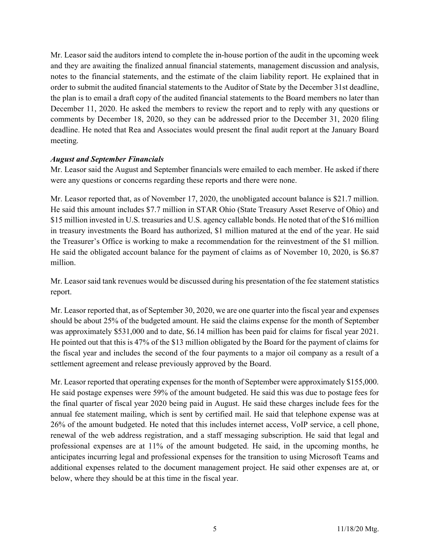Mr. Leasor said the auditors intend to complete the in-house portion of the audit in the upcoming week and they are awaiting the finalized annual financial statements, management discussion and analysis, notes to the financial statements, and the estimate of the claim liability report. He explained that in order to submit the audited financial statements to the Auditor of State by the December 31st deadline, the plan is to email a draft copy of the audited financial statements to the Board members no later than December 11, 2020. He asked the members to review the report and to reply with any questions or comments by December 18, 2020, so they can be addressed prior to the December 31, 2020 filing deadline. He noted that Rea and Associates would present the final audit report at the January Board meeting.

#### August and September Financials

Mr. Leasor said the August and September financials were emailed to each member. He asked if there were any questions or concerns regarding these reports and there were none.

Mr. Leasor reported that, as of November 17, 2020, the unobligated account balance is \$21.7 million. He said this amount includes \$7.7 million in STAR Ohio (State Treasury Asset Reserve of Ohio) and \$15 million invested in U.S. treasuries and U.S. agency callable bonds. He noted that of the \$16 million in treasury investments the Board has authorized, \$1 million matured at the end of the year. He said the Treasurer's Office is working to make a recommendation for the reinvestment of the \$1 million. He said the obligated account balance for the payment of claims as of November 10, 2020, is \$6.87 million.

Mr. Leasor said tank revenues would be discussed during his presentation of the fee statement statistics report.

Mr. Leasor reported that, as of September 30, 2020, we are one quarter into the fiscal year and expenses should be about 25% of the budgeted amount. He said the claims expense for the month of September was approximately \$531,000 and to date, \$6.14 million has been paid for claims for fiscal year 2021. He pointed out that this is 47% of the \$13 million obligated by the Board for the payment of claims for the fiscal year and includes the second of the four payments to a major oil company as a result of a settlement agreement and release previously approved by the Board.

Mr. Leasor reported that operating expenses for the month of September were approximately \$155,000. He said postage expenses were 59% of the amount budgeted. He said this was due to postage fees for the final quarter of fiscal year 2020 being paid in August. He said these charges include fees for the annual fee statement mailing, which is sent by certified mail. He said that telephone expense was at 26% of the amount budgeted. He noted that this includes internet access, VoIP service, a cell phone, renewal of the web address registration, and a staff messaging subscription. He said that legal and professional expenses are at 11% of the amount budgeted. He said, in the upcoming months, he anticipates incurring legal and professional expenses for the transition to using Microsoft Teams and additional expenses related to the document management project. He said other expenses are at, or below, where they should be at this time in the fiscal year.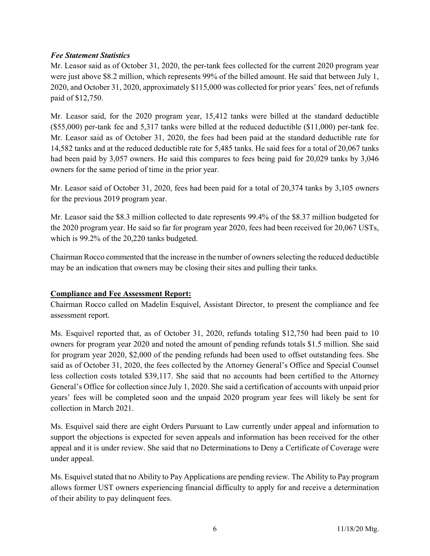### Fee Statement Statistics

Mr. Leasor said as of October 31, 2020, the per-tank fees collected for the current 2020 program year were just above \$8.2 million, which represents 99% of the billed amount. He said that between July 1, 2020, and October 31, 2020, approximately \$115,000 was collected for prior years' fees, net of refunds paid of \$12,750.

Mr. Leasor said, for the 2020 program year, 15,412 tanks were billed at the standard deductible (\$55,000) per-tank fee and 5,317 tanks were billed at the reduced deductible (\$11,000) per-tank fee. Mr. Leasor said as of October 31, 2020, the fees had been paid at the standard deductible rate for 14,582 tanks and at the reduced deductible rate for 5,485 tanks. He said fees for a total of 20,067 tanks had been paid by 3,057 owners. He said this compares to fees being paid for 20,029 tanks by 3,046 owners for the same period of time in the prior year.

Mr. Leasor said of October 31, 2020, fees had been paid for a total of 20,374 tanks by 3,105 owners for the previous 2019 program year.

Mr. Leasor said the \$8.3 million collected to date represents 99.4% of the \$8.37 million budgeted for the 2020 program year. He said so far for program year 2020, fees had been received for 20,067 USTs, which is 99.2% of the 20,220 tanks budgeted.

Chairman Rocco commented that the increase in the number of owners selecting the reduced deductible may be an indication that owners may be closing their sites and pulling their tanks.

#### Compliance and Fee Assessment Report:

Chairman Rocco called on Madelin Esquivel, Assistant Director, to present the compliance and fee assessment report.

Ms. Esquivel reported that, as of October 31, 2020, refunds totaling \$12,750 had been paid to 10 owners for program year 2020 and noted the amount of pending refunds totals \$1.5 million. She said for program year 2020, \$2,000 of the pending refunds had been used to offset outstanding fees. She said as of October 31, 2020, the fees collected by the Attorney General's Office and Special Counsel less collection costs totaled \$39,117. She said that no accounts had been certified to the Attorney General's Office for collection since July 1, 2020. She said a certification of accounts with unpaid prior years' fees will be completed soon and the unpaid 2020 program year fees will likely be sent for collection in March 2021.

Ms. Esquivel said there are eight Orders Pursuant to Law currently under appeal and information to support the objections is expected for seven appeals and information has been received for the other appeal and it is under review. She said that no Determinations to Deny a Certificate of Coverage were under appeal.

Ms. Esquivel stated that no Ability to Pay Applications are pending review. The Ability to Pay program allows former UST owners experiencing financial difficulty to apply for and receive a determination of their ability to pay delinquent fees.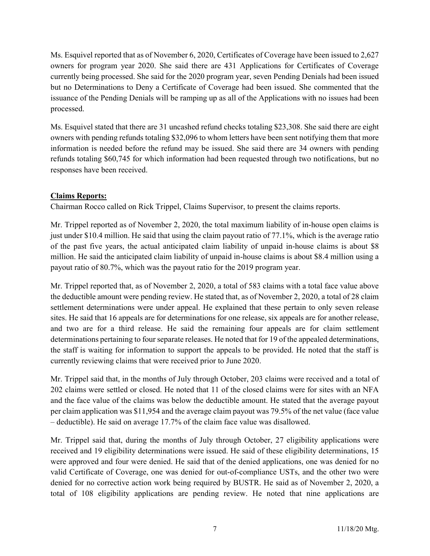Ms. Esquivel reported that as of November 6, 2020, Certificates of Coverage have been issued to 2,627 owners for program year 2020. She said there are 431 Applications for Certificates of Coverage currently being processed. She said for the 2020 program year, seven Pending Denials had been issued but no Determinations to Deny a Certificate of Coverage had been issued. She commented that the issuance of the Pending Denials will be ramping up as all of the Applications with no issues had been processed.

Ms. Esquivel stated that there are 31 uncashed refund checks totaling \$23,308. She said there are eight owners with pending refunds totaling \$32,096 to whom letters have been sent notifying them that more information is needed before the refund may be issued. She said there are 34 owners with pending refunds totaling \$60,745 for which information had been requested through two notifications, but no responses have been received.

# Claims Reports:

Chairman Rocco called on Rick Trippel, Claims Supervisor, to present the claims reports.

Mr. Trippel reported as of November 2, 2020, the total maximum liability of in-house open claims is just under \$10.4 million. He said that using the claim payout ratio of 77.1%, which is the average ratio of the past five years, the actual anticipated claim liability of unpaid in-house claims is about \$8 million. He said the anticipated claim liability of unpaid in-house claims is about \$8.4 million using a payout ratio of 80.7%, which was the payout ratio for the 2019 program year.

Mr. Trippel reported that, as of November 2, 2020, a total of 583 claims with a total face value above the deductible amount were pending review. He stated that, as of November 2, 2020, a total of 28 claim settlement determinations were under appeal. He explained that these pertain to only seven release sites. He said that 16 appeals are for determinations for one release, six appeals are for another release, and two are for a third release. He said the remaining four appeals are for claim settlement determinations pertaining to four separate releases. He noted that for 19 of the appealed determinations, the staff is waiting for information to support the appeals to be provided. He noted that the staff is currently reviewing claims that were received prior to June 2020.

Mr. Trippel said that, in the months of July through October, 203 claims were received and a total of 202 claims were settled or closed. He noted that 11 of the closed claims were for sites with an NFA and the face value of the claims was below the deductible amount. He stated that the average payout per claim application was \$11,954 and the average claim payout was 79.5% of the net value (face value – deductible). He said on average 17.7% of the claim face value was disallowed.

Mr. Trippel said that, during the months of July through October, 27 eligibility applications were received and 19 eligibility determinations were issued. He said of these eligibility determinations, 15 were approved and four were denied. He said that of the denied applications, one was denied for no valid Certificate of Coverage, one was denied for out-of-compliance USTs, and the other two were denied for no corrective action work being required by BUSTR. He said as of November 2, 2020, a total of 108 eligibility applications are pending review. He noted that nine applications are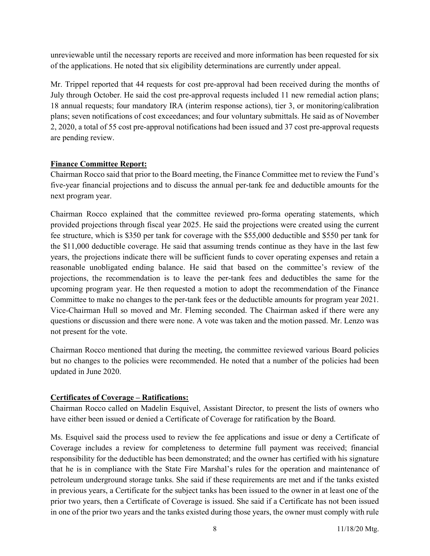unreviewable until the necessary reports are received and more information has been requested for six of the applications. He noted that six eligibility determinations are currently under appeal.

Mr. Trippel reported that 44 requests for cost pre-approval had been received during the months of July through October. He said the cost pre-approval requests included 11 new remedial action plans; 18 annual requests; four mandatory IRA (interim response actions), tier 3, or monitoring/calibration plans; seven notifications of cost exceedances; and four voluntary submittals. He said as of November 2, 2020, a total of 55 cost pre-approval notifications had been issued and 37 cost pre-approval requests are pending review.

# Finance Committee Report:

Chairman Rocco said that prior to the Board meeting, the Finance Committee met to review the Fund's five-year financial projections and to discuss the annual per-tank fee and deductible amounts for the next program year.

Chairman Rocco explained that the committee reviewed pro-forma operating statements, which provided projections through fiscal year 2025. He said the projections were created using the current fee structure, which is \$350 per tank for coverage with the \$55,000 deductible and \$550 per tank for the \$11,000 deductible coverage. He said that assuming trends continue as they have in the last few years, the projections indicate there will be sufficient funds to cover operating expenses and retain a reasonable unobligated ending balance. He said that based on the committee's review of the projections, the recommendation is to leave the per-tank fees and deductibles the same for the upcoming program year. He then requested a motion to adopt the recommendation of the Finance Committee to make no changes to the per-tank fees or the deductible amounts for program year 2021. Vice-Chairman Hull so moved and Mr. Fleming seconded. The Chairman asked if there were any questions or discussion and there were none. A vote was taken and the motion passed. Mr. Lenzo was not present for the vote.

Chairman Rocco mentioned that during the meeting, the committee reviewed various Board policies but no changes to the policies were recommended. He noted that a number of the policies had been updated in June 2020.

# Certificates of Coverage – Ratifications:

Chairman Rocco called on Madelin Esquivel, Assistant Director, to present the lists of owners who have either been issued or denied a Certificate of Coverage for ratification by the Board.

Ms. Esquivel said the process used to review the fee applications and issue or deny a Certificate of Coverage includes a review for completeness to determine full payment was received; financial responsibility for the deductible has been demonstrated; and the owner has certified with his signature that he is in compliance with the State Fire Marshal's rules for the operation and maintenance of petroleum underground storage tanks. She said if these requirements are met and if the tanks existed in previous years, a Certificate for the subject tanks has been issued to the owner in at least one of the prior two years, then a Certificate of Coverage is issued. She said if a Certificate has not been issued in one of the prior two years and the tanks existed during those years, the owner must comply with rule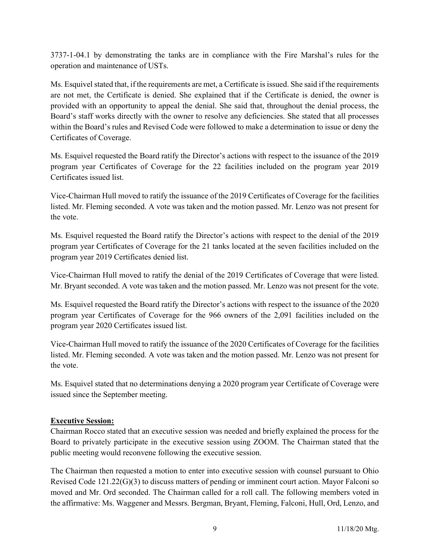3737-1-04.1 by demonstrating the tanks are in compliance with the Fire Marshal's rules for the operation and maintenance of USTs.

Ms. Esquivel stated that, if the requirements are met, a Certificate is issued. She said if the requirements are not met, the Certificate is denied. She explained that if the Certificate is denied, the owner is provided with an opportunity to appeal the denial. She said that, throughout the denial process, the Board's staff works directly with the owner to resolve any deficiencies. She stated that all processes within the Board's rules and Revised Code were followed to make a determination to issue or deny the Certificates of Coverage.

Ms. Esquivel requested the Board ratify the Director's actions with respect to the issuance of the 2019 program year Certificates of Coverage for the 22 facilities included on the program year 2019 Certificates issued list.

Vice-Chairman Hull moved to ratify the issuance of the 2019 Certificates of Coverage for the facilities listed. Mr. Fleming seconded. A vote was taken and the motion passed. Mr. Lenzo was not present for the vote.

Ms. Esquivel requested the Board ratify the Director's actions with respect to the denial of the 2019 program year Certificates of Coverage for the 21 tanks located at the seven facilities included on the program year 2019 Certificates denied list.

Vice-Chairman Hull moved to ratify the denial of the 2019 Certificates of Coverage that were listed. Mr. Bryant seconded. A vote was taken and the motion passed. Mr. Lenzo was not present for the vote.

Ms. Esquivel requested the Board ratify the Director's actions with respect to the issuance of the 2020 program year Certificates of Coverage for the 966 owners of the 2,091 facilities included on the program year 2020 Certificates issued list.

Vice-Chairman Hull moved to ratify the issuance of the 2020 Certificates of Coverage for the facilities listed. Mr. Fleming seconded. A vote was taken and the motion passed. Mr. Lenzo was not present for the vote.

Ms. Esquivel stated that no determinations denying a 2020 program year Certificate of Coverage were issued since the September meeting.

# Executive Session:

Chairman Rocco stated that an executive session was needed and briefly explained the process for the Board to privately participate in the executive session using ZOOM. The Chairman stated that the public meeting would reconvene following the executive session.

The Chairman then requested a motion to enter into executive session with counsel pursuant to Ohio Revised Code 121.22(G)(3) to discuss matters of pending or imminent court action. Mayor Falconi so moved and Mr. Ord seconded. The Chairman called for a roll call. The following members voted in the affirmative: Ms. Waggener and Messrs. Bergman, Bryant, Fleming, Falconi, Hull, Ord, Lenzo, and